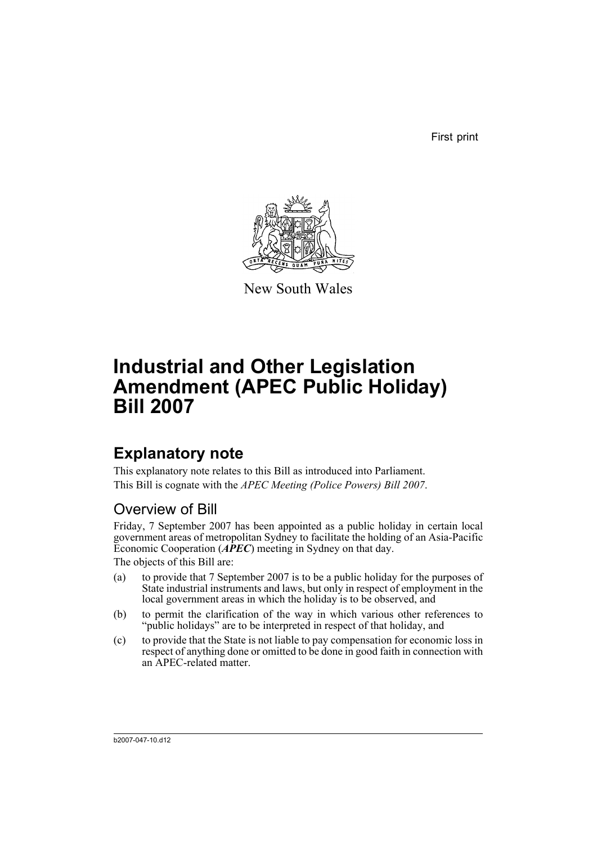First print



New South Wales

# **Industrial and Other Legislation Amendment (APEC Public Holiday) Bill 2007**

## **Explanatory note**

This explanatory note relates to this Bill as introduced into Parliament. This Bill is cognate with the *APEC Meeting (Police Powers) Bill 2007*.

## Overview of Bill

Friday, 7 September 2007 has been appointed as a public holiday in certain local government areas of metropolitan Sydney to facilitate the holding of an Asia-Pacific Economic Cooperation (*APEC*) meeting in Sydney on that day.

The objects of this Bill are:

- (a) to provide that 7 September 2007 is to be a public holiday for the purposes of State industrial instruments and laws, but only in respect of employment in the local government areas in which the holiday is to be observed, and
- (b) to permit the clarification of the way in which various other references to "public holidays" are to be interpreted in respect of that holiday, and
- (c) to provide that the State is not liable to pay compensation for economic loss in respect of anything done or omitted to be done in good faith in connection with an APEC-related matter.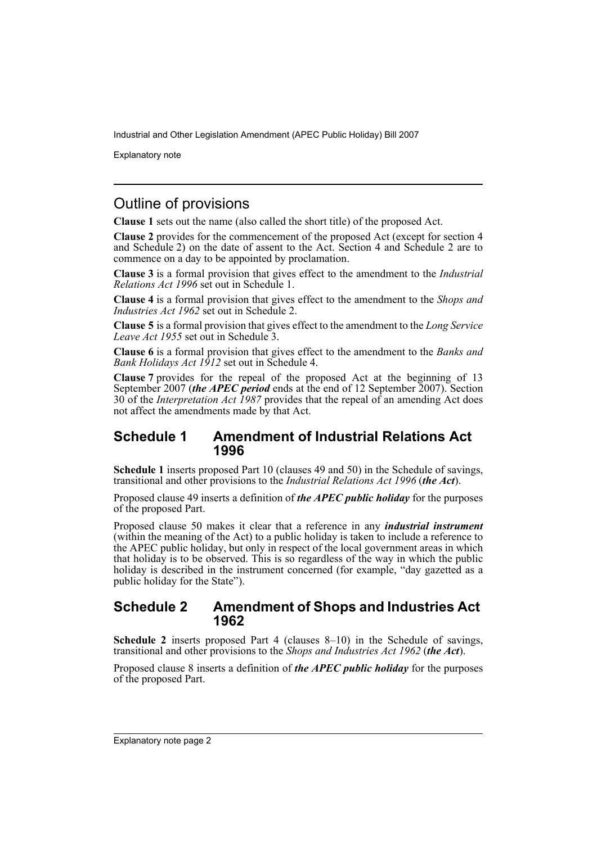Explanatory note

## Outline of provisions

**Clause 1** sets out the name (also called the short title) of the proposed Act.

**Clause 2** provides for the commencement of the proposed Act (except for section 4 and Schedule 2) on the date of assent to the Act. Section 4 and Schedule 2 are to commence on a day to be appointed by proclamation.

**Clause 3** is a formal provision that gives effect to the amendment to the *Industrial Relations Act 1996* set out in Schedule 1.

**Clause 4** is a formal provision that gives effect to the amendment to the *Shops and Industries Act 1962* set out in Schedule 2.

**Clause 5** is a formal provision that gives effect to the amendment to the *Long Service Leave Act 1955* set out in Schedule 3.

**Clause 6** is a formal provision that gives effect to the amendment to the *Banks and Bank Holidays Act 1912* set out in Schedule 4.

**Clause 7** provides for the repeal of the proposed Act at the beginning of 13 September 2007 (*the APEC period* ends at the end of 12 September 2007). Section 30 of the *Interpretation Act 1987* provides that the repeal of an amending Act does not affect the amendments made by that Act.

### **Schedule 1 Amendment of Industrial Relations Act 1996**

**Schedule 1** inserts proposed Part 10 (clauses 49 and 50) in the Schedule of savings, transitional and other provisions to the *Industrial Relations Act 1996* (*the Act*).

Proposed clause 49 inserts a definition of *the APEC public holiday* for the purposes of the proposed Part.

Proposed clause 50 makes it clear that a reference in any *industrial instrument* (within the meaning of the Act) to a public holiday is taken to include a reference to the APEC public holiday, but only in respect of the local government areas in which that holiday is to be observed. This is so regardless of the way in which the public holiday is described in the instrument concerned (for example, "day gazetted as a public holiday for the State").

#### **Schedule 2 Amendment of Shops and Industries Act 1962**

**Schedule 2** inserts proposed Part 4 (clauses 8–10) in the Schedule of savings, transitional and other provisions to the *Shops and Industries Act 1962* (*the Act*).

Proposed clause 8 inserts a definition of *the APEC public holiday* for the purposes of the proposed Part.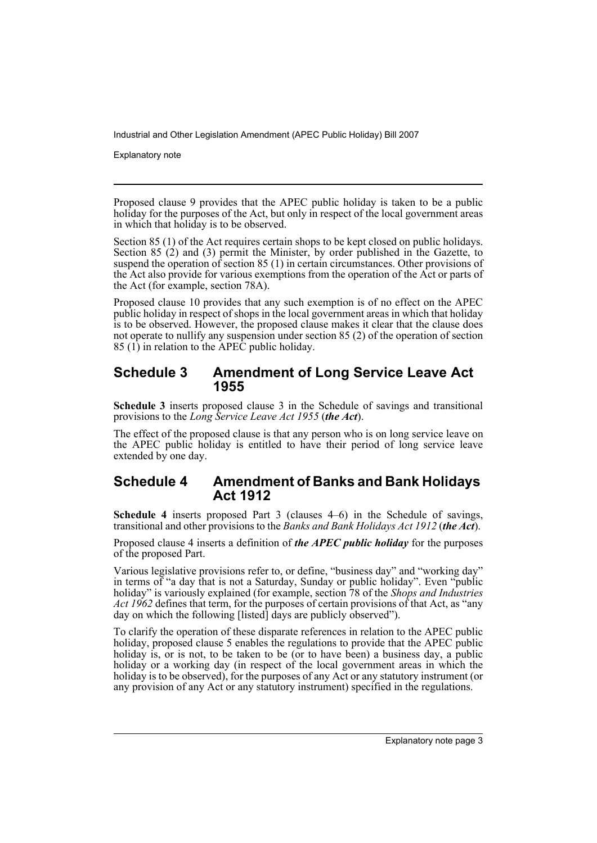Explanatory note

Proposed clause 9 provides that the APEC public holiday is taken to be a public holiday for the purposes of the Act, but only in respect of the local government areas in which that holiday is to be observed.

Section 85 (1) of the Act requires certain shops to be kept closed on public holidays. Section 85 (2) and (3) permit the Minister, by order published in the Gazette, to suspend the operation of section 85 (1) in certain circumstances. Other provisions of the Act also provide for various exemptions from the operation of the Act or parts of the Act (for example, section 78A).

Proposed clause 10 provides that any such exemption is of no effect on the APEC public holiday in respect of shops in the local government areas in which that holiday is to be observed. However, the proposed clause makes it clear that the clause does not operate to nullify any suspension under section 85 (2) of the operation of section 85 (1) in relation to the APEC public holiday.

## **Schedule 3 Amendment of Long Service Leave Act 1955**

**Schedule 3** inserts proposed clause 3 in the Schedule of savings and transitional provisions to the *Long Service Leave Act 1955* (*the Act*).

The effect of the proposed clause is that any person who is on long service leave on the APEC public holiday is entitled to have their period of long service leave extended by one day.

## **Schedule 4 Amendment of Banks and Bank Holidays Act 1912**

**Schedule 4** inserts proposed Part 3 (clauses 4–6) in the Schedule of savings, transitional and other provisions to the *Banks and Bank Holidays Act 1912* (*the Act*).

Proposed clause 4 inserts a definition of *the APEC public holiday* for the purposes of the proposed Part.

Various legislative provisions refer to, or define, "business day" and "working day" in terms of "a day that is not a Saturday, Sunday or public holiday". Even "public holiday" is variously explained (for example, section 78 of the *Shops and Industries Act 1962* defines that term, for the purposes of certain provisions of that Act, as "any day on which the following [listed] days are publicly observed").

To clarify the operation of these disparate references in relation to the APEC public holiday, proposed clause 5 enables the regulations to provide that the APEC public holiday is, or is not, to be taken to be (or to have been) a business day, a public holiday or a working day (in respect of the local government areas in which the holiday is to be observed), for the purposes of any Act or any statutory instrument (or any provision of any Act or any statutory instrument) specified in the regulations.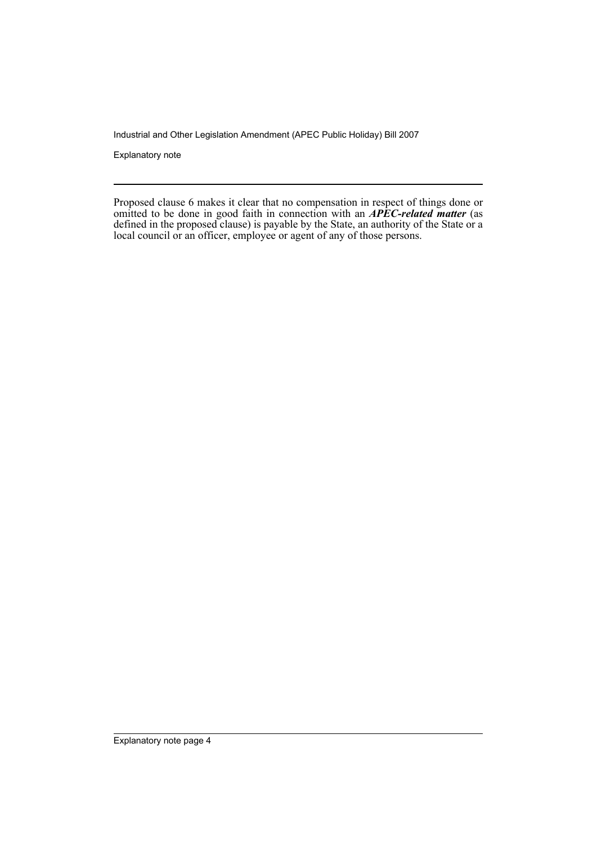Explanatory note

Proposed clause 6 makes it clear that no compensation in respect of things done or omitted to be done in good faith in connection with an *APEC-related matter* (as defined in the proposed clause) is payable by the State, an authority of the State or a local council or an officer, employee or agent of any of those persons.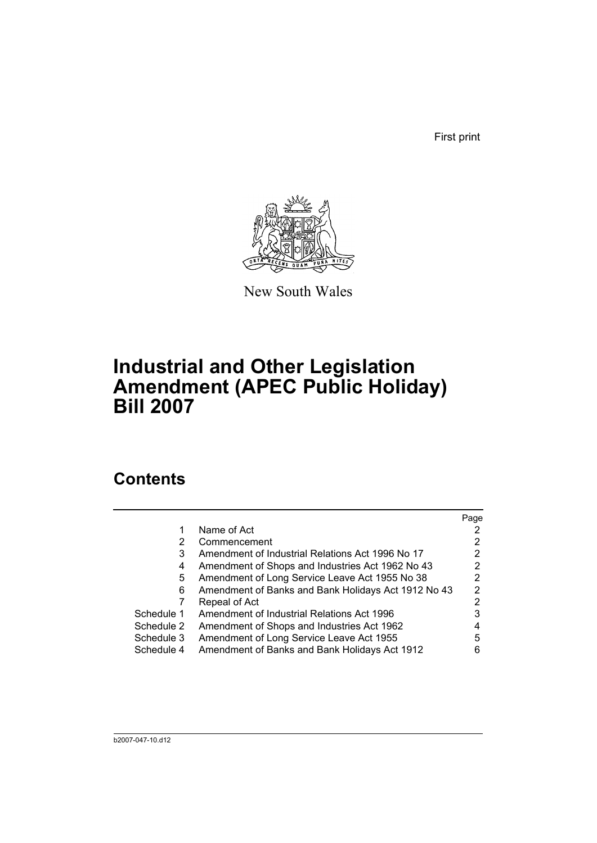First print



New South Wales

# **Industrial and Other Legislation Amendment (APEC Public Holiday) Bill 2007**

## **Contents**

|            |                                                     | Page |
|------------|-----------------------------------------------------|------|
| 1          | Name of Act                                         |      |
| 2          | Commencement                                        | 2    |
| 3          | Amendment of Industrial Relations Act 1996 No 17    | 2    |
| 4          | Amendment of Shops and Industries Act 1962 No 43    | 2    |
| 5          | Amendment of Long Service Leave Act 1955 No 38      |      |
| 6          | Amendment of Banks and Bank Holidays Act 1912 No 43 | 2    |
|            | Repeal of Act                                       | 2    |
| Schedule 1 | Amendment of Industrial Relations Act 1996          |      |
| Schedule 2 | Amendment of Shops and Industries Act 1962          | 4    |
| Schedule 3 | Amendment of Long Service Leave Act 1955            | 5    |
| Schedule 4 | Amendment of Banks and Bank Holidays Act 1912       |      |
|            |                                                     |      |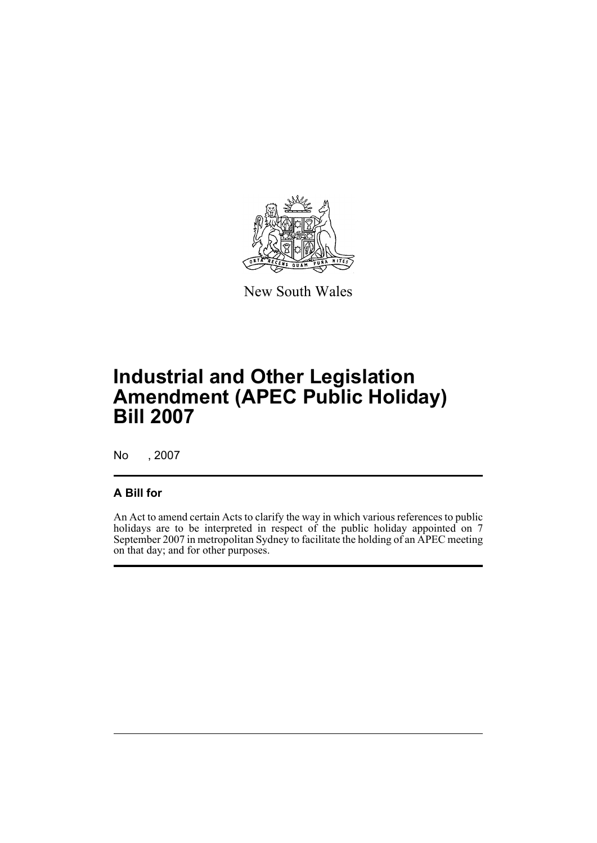

New South Wales

# **Industrial and Other Legislation Amendment (APEC Public Holiday) Bill 2007**

No , 2007

## **A Bill for**

An Act to amend certain Acts to clarify the way in which various references to public holidays are to be interpreted in respect of the public holiday appointed on 7 September 2007 in metropolitan Sydney to facilitate the holding of an APEC meeting on that day; and for other purposes.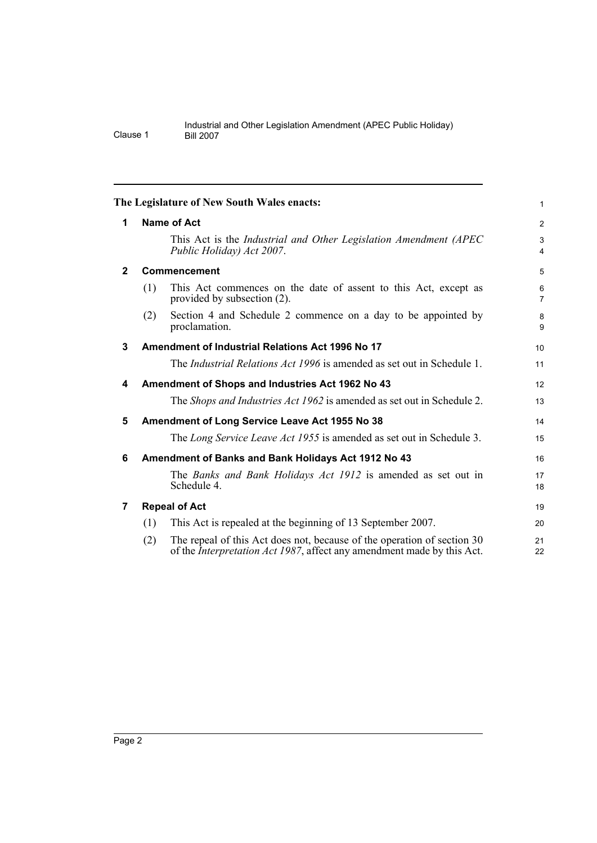<span id="page-7-6"></span><span id="page-7-5"></span><span id="page-7-4"></span><span id="page-7-3"></span><span id="page-7-2"></span><span id="page-7-1"></span><span id="page-7-0"></span>

|              |                                                     | The Legislature of New South Wales enacts:                                                                                                                | 1                            |
|--------------|-----------------------------------------------------|-----------------------------------------------------------------------------------------------------------------------------------------------------------|------------------------------|
| 1            | <b>Name of Act</b>                                  |                                                                                                                                                           |                              |
|              |                                                     | This Act is the Industrial and Other Legislation Amendment (APEC<br>Public Holiday) Act 2007.                                                             | 3<br>$\overline{\mathbf{4}}$ |
| $\mathbf{2}$ | Commencement                                        |                                                                                                                                                           |                              |
|              | (1)                                                 | This Act commences on the date of assent to this Act, except as<br>provided by subsection (2).                                                            | 6<br>$\overline{7}$          |
|              | (2)                                                 | Section 4 and Schedule 2 commence on a day to be appointed by<br>proclamation.                                                                            | 8<br>9                       |
| 3            | Amendment of Industrial Relations Act 1996 No 17    |                                                                                                                                                           |                              |
|              |                                                     | The <i>Industrial Relations Act 1996</i> is amended as set out in Schedule 1.                                                                             | 11                           |
| 4            |                                                     | Amendment of Shops and Industries Act 1962 No 43                                                                                                          | 12                           |
|              |                                                     | The <i>Shops and Industries Act 1962</i> is amended as set out in Schedule 2.                                                                             | 13                           |
| 5            | Amendment of Long Service Leave Act 1955 No 38      |                                                                                                                                                           |                              |
|              |                                                     | The Long Service Leave Act 1955 is amended as set out in Schedule 3.                                                                                      | 15                           |
| 6            | Amendment of Banks and Bank Holidays Act 1912 No 43 |                                                                                                                                                           |                              |
|              |                                                     | The Banks and Bank Holidays Act 1912 is amended as set out in<br>Schedule 4.                                                                              | 17<br>18                     |
| 7            | <b>Repeal of Act</b>                                |                                                                                                                                                           |                              |
|              | (1)                                                 | This Act is repealed at the beginning of 13 September 2007.                                                                                               | 20                           |
|              | (2)                                                 | The repeal of this Act does not, because of the operation of section 30<br>of the <i>Interpretation Act 1987</i> , affect any amendment made by this Act. | 21<br>22                     |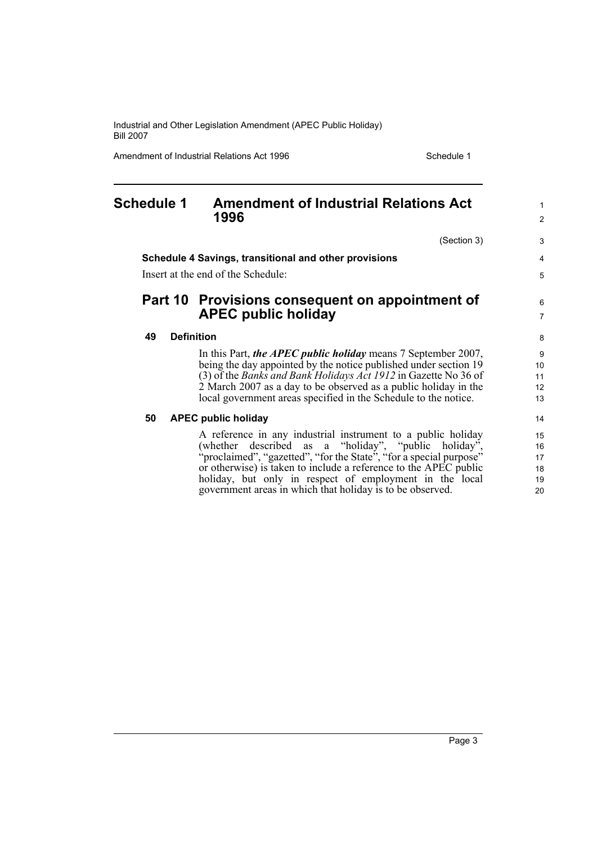Amendment of Industrial Relations Act 1996 Schedule 1

<span id="page-8-0"></span>

| <b>Schedule 1</b> | <b>Amendment of Industrial Relations Act</b><br>1996                                                                                                                                                                                                                                                                                                                                                                 | 1<br>$\overline{2}$                    |
|-------------------|----------------------------------------------------------------------------------------------------------------------------------------------------------------------------------------------------------------------------------------------------------------------------------------------------------------------------------------------------------------------------------------------------------------------|----------------------------------------|
|                   | (Section 3)                                                                                                                                                                                                                                                                                                                                                                                                          | 3                                      |
|                   | Schedule 4 Savings, transitional and other provisions                                                                                                                                                                                                                                                                                                                                                                | 4                                      |
|                   | Insert at the end of the Schedule:                                                                                                                                                                                                                                                                                                                                                                                   | 5                                      |
|                   | Part 10 Provisions consequent on appointment of<br><b>APEC public holiday</b>                                                                                                                                                                                                                                                                                                                                        | 6<br>$\overline{7}$                    |
| 49                | <b>Definition</b>                                                                                                                                                                                                                                                                                                                                                                                                    | 8                                      |
|                   | In this Part, the APEC public holiday means 7 September 2007,<br>being the day appointed by the notice published under section 19<br>(3) of the <i>Banks and Bank Holidays Act 1912</i> in Gazette No 36 of<br>2 March 2007 as a day to be observed as a public holiday in the<br>local government areas specified in the Schedule to the notice.                                                                    | 9<br>10<br>11<br>12<br>13              |
| 50                | <b>APEC public holiday</b><br>A reference in any industrial instrument to a public holiday<br>(whether described as a "holiday", "public holiday",<br>"proclaimed", "gazetted", "for the State", "for a special purpose"<br>or otherwise) is taken to include a reference to the APEC public<br>holiday, but only in respect of employment in the local<br>government areas in which that holiday is to be observed. | 14<br>15<br>16<br>17<br>18<br>19<br>20 |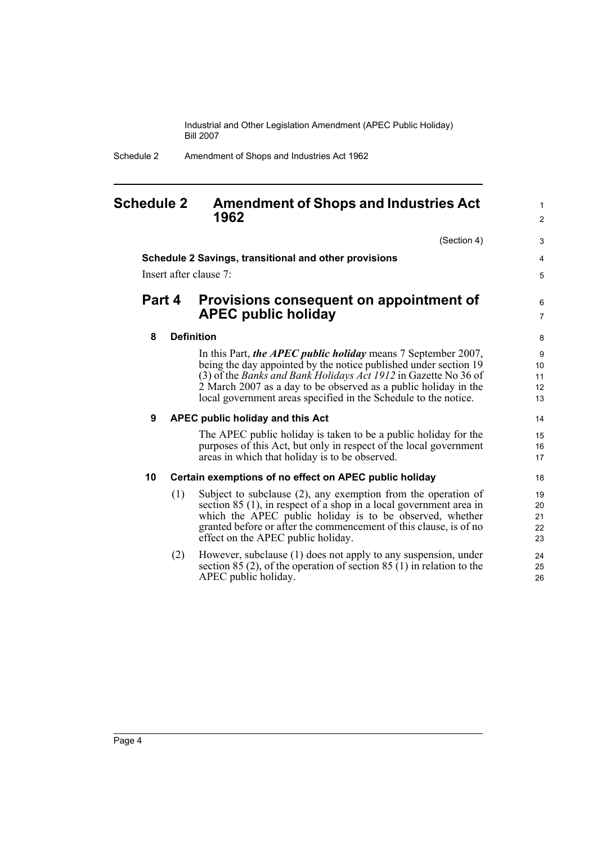Schedule 2 Amendment of Shops and Industries Act 1962

### <span id="page-9-0"></span>**Schedule 2 Amendment of Shops and Industries Act 1962**

**Schedule 2 Savings, transitional and other provisions**

**APEC public holiday**

(Section 4)

| Insert after clause 7: |                                                |
|------------------------|------------------------------------------------|
|                        | Part 4 Provisions consequent on appointment of |

#### 6 7

1  $\mathfrak{p}$ 

3 4 5

#### **8 Definition**

In this Part, *the APEC public holiday* means 7 September 2007, being the day appointed by the notice published under section 19 (3) of the *Banks and Bank Holidays Act 1912* in Gazette No 36 of 2 March 2007 as a day to be observed as a public holiday in the local government areas specified in the Schedule to the notice.

#### **9 APEC public holiday and this Act**

The APEC public holiday is taken to be a public holiday for the purposes of this Act, but only in respect of the local government areas in which that holiday is to be observed.

#### **10 Certain exemptions of no effect on APEC public holiday**

- (1) Subject to subclause (2), any exemption from the operation of section 85 (1), in respect of a shop in a local government area in which the APEC public holiday is to be observed, whether granted before or after the commencement of this clause, is of no effect on the APEC public holiday.
- (2) However, subclause (1) does not apply to any suspension, under section 85 (2), of the operation of section 85 (1) in relation to the APEC public holiday.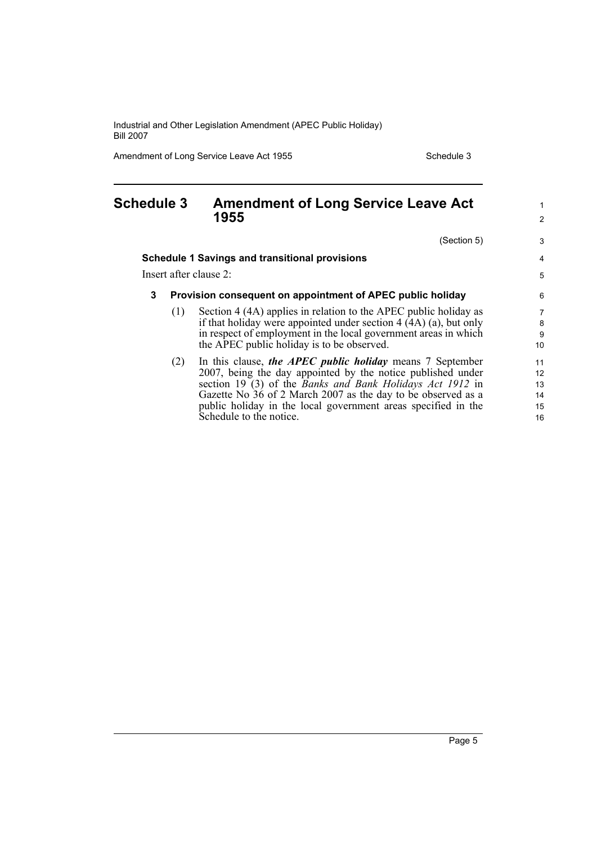Amendment of Long Service Leave Act 1955 Schedule 3

1 2

## <span id="page-10-0"></span>**Schedule 3 Amendment of Long Service Leave Act 1955**

|                                                            | (Section 5)                                                      | 3                                                                                                                                                                                                                                                                                                                                                                                                                                                                                                                                                                                                                           |
|------------------------------------------------------------|------------------------------------------------------------------|-----------------------------------------------------------------------------------------------------------------------------------------------------------------------------------------------------------------------------------------------------------------------------------------------------------------------------------------------------------------------------------------------------------------------------------------------------------------------------------------------------------------------------------------------------------------------------------------------------------------------------|
|                                                            |                                                                  | 4                                                                                                                                                                                                                                                                                                                                                                                                                                                                                                                                                                                                                           |
|                                                            |                                                                  | 5                                                                                                                                                                                                                                                                                                                                                                                                                                                                                                                                                                                                                           |
| Provision consequent on appointment of APEC public holiday |                                                                  |                                                                                                                                                                                                                                                                                                                                                                                                                                                                                                                                                                                                                             |
| (1)                                                        | Section 4 (4A) applies in relation to the APEC public holiday as | 7                                                                                                                                                                                                                                                                                                                                                                                                                                                                                                                                                                                                                           |
|                                                            |                                                                  | 8                                                                                                                                                                                                                                                                                                                                                                                                                                                                                                                                                                                                                           |
|                                                            |                                                                  | 9                                                                                                                                                                                                                                                                                                                                                                                                                                                                                                                                                                                                                           |
|                                                            |                                                                  | 10 <sup>1</sup>                                                                                                                                                                                                                                                                                                                                                                                                                                                                                                                                                                                                             |
| (2)                                                        |                                                                  | 11                                                                                                                                                                                                                                                                                                                                                                                                                                                                                                                                                                                                                          |
|                                                            |                                                                  | 12                                                                                                                                                                                                                                                                                                                                                                                                                                                                                                                                                                                                                          |
|                                                            |                                                                  | 13                                                                                                                                                                                                                                                                                                                                                                                                                                                                                                                                                                                                                          |
|                                                            |                                                                  | 14                                                                                                                                                                                                                                                                                                                                                                                                                                                                                                                                                                                                                          |
|                                                            |                                                                  | 15                                                                                                                                                                                                                                                                                                                                                                                                                                                                                                                                                                                                                          |
|                                                            |                                                                  | 16                                                                                                                                                                                                                                                                                                                                                                                                                                                                                                                                                                                                                          |
|                                                            |                                                                  | <b>Schedule 1 Savings and transitional provisions</b><br>Insert after clause 2:<br>if that holiday were appointed under section $4(AA)(a)$ , but only<br>in respect of employment in the local government areas in which<br>the APEC public holiday is to be observed.<br>In this clause, the APEC public holiday means 7 September<br>2007, being the day appointed by the notice published under<br>section 19 (3) of the Banks and Bank Holidays Act 1912 in<br>Gazette No 36 of 2 March 2007 as the day to be observed as a<br>public holiday in the local government areas specified in the<br>Schedule to the notice. |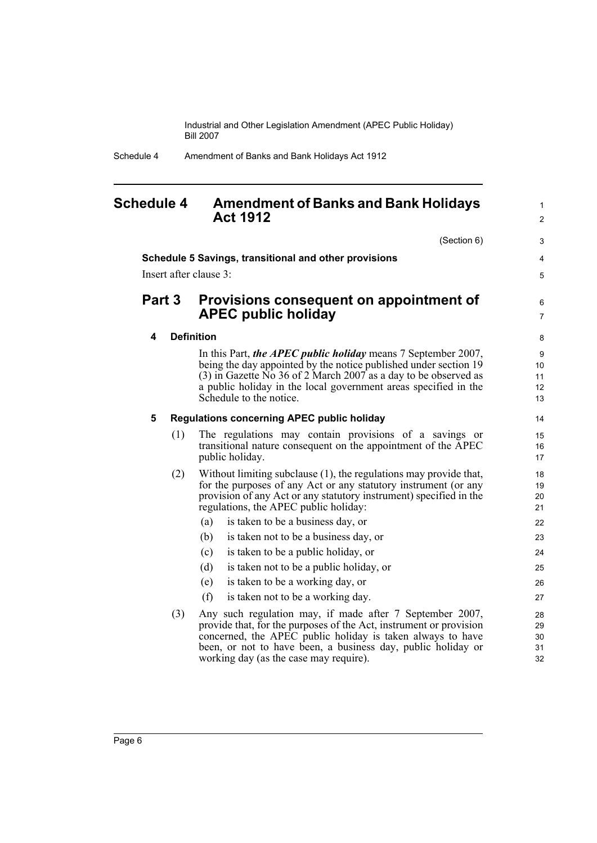> 1 2

Schedule 4 Amendment of Banks and Bank Holidays Act 1912

### <span id="page-11-0"></span>**Schedule 4 Amendment of Banks and Bank Holidays Act 1912**

|        |                                                   | (Section 6)                                                                                                                                                                                                                                                                                                     | 3                          |  |  |
|--------|---------------------------------------------------|-----------------------------------------------------------------------------------------------------------------------------------------------------------------------------------------------------------------------------------------------------------------------------------------------------------------|----------------------------|--|--|
|        |                                                   | Schedule 5 Savings, transitional and other provisions                                                                                                                                                                                                                                                           | 4                          |  |  |
|        |                                                   | Insert after clause 3:                                                                                                                                                                                                                                                                                          | 5                          |  |  |
| Part 3 |                                                   | Provisions consequent on appointment of<br><b>APEC public holiday</b>                                                                                                                                                                                                                                           | 6<br>$\overline{7}$        |  |  |
| 4      |                                                   | <b>Definition</b>                                                                                                                                                                                                                                                                                               | 8                          |  |  |
|        |                                                   | In this Part, the APEC public holiday means 7 September 2007,<br>being the day appointed by the notice published under section 19<br>(3) in Gazette $\overline{No}$ 36 of 2 March 2007 as a day to be observed as<br>a public holiday in the local government areas specified in the<br>Schedule to the notice. | 9<br>10<br>11<br>12<br>13  |  |  |
| 5      | <b>Regulations concerning APEC public holiday</b> |                                                                                                                                                                                                                                                                                                                 |                            |  |  |
|        | (1)                                               | The regulations may contain provisions of a savings or<br>transitional nature consequent on the appointment of the APEC<br>public holiday.                                                                                                                                                                      | 15<br>16<br>17             |  |  |
|        | (2)                                               | Without limiting subclause (1), the regulations may provide that,<br>for the purposes of any Act or any statutory instrument (or any<br>provision of any Act or any statutory instrument) specified in the<br>regulations, the APEC public holiday:                                                             | 18<br>19<br>20<br>21       |  |  |
|        |                                                   | is taken to be a business day, or<br>(a)                                                                                                                                                                                                                                                                        | 22                         |  |  |
|        |                                                   | (b)<br>is taken not to be a business day, or                                                                                                                                                                                                                                                                    | 23                         |  |  |
|        |                                                   | is taken to be a public holiday, or<br>(c)                                                                                                                                                                                                                                                                      | 24                         |  |  |
|        |                                                   | (d)<br>is taken not to be a public holiday, or                                                                                                                                                                                                                                                                  | 25                         |  |  |
|        |                                                   | is taken to be a working day, or<br>(e)                                                                                                                                                                                                                                                                         | 26                         |  |  |
|        |                                                   | (f)<br>is taken not to be a working day.                                                                                                                                                                                                                                                                        | 27                         |  |  |
|        | (3)                                               | Any such regulation may, if made after 7 September 2007,<br>provide that, for the purposes of the Act, instrument or provision<br>concerned, the APEC public holiday is taken always to have<br>been, or not to have been, a business day, public holiday or<br>working day (as the case may require).          | 28<br>29<br>30<br>31<br>32 |  |  |